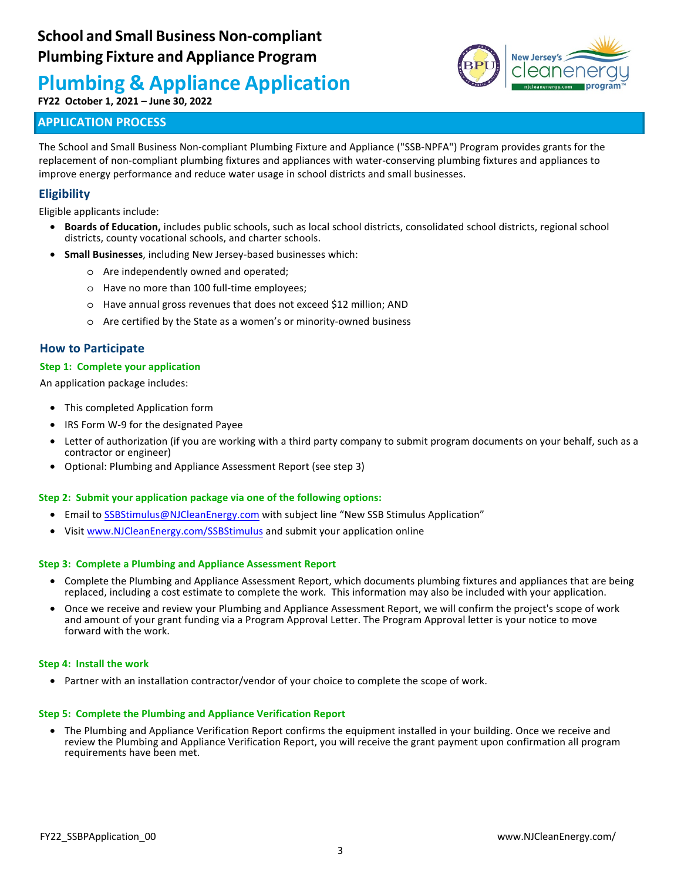**FY22 October 1, 2021 – June 30, 2022**

# **APPLICATION PROCESS**



The School and Small Business Non-compliant Plumbing Fixture and Appliance ("SSB-NPFA") Program provides grants for the replacement of non-compliant plumbing fixtures and appliances with water-conserving plumbing fixtures and appliances to improve energy performance and reduce water usage in school districts and small businesses.

# **Eligibility**

Eligible applicants include:

- **Boards of Education,** includes public schools, such as local school districts, consolidated school districts, regional school districts, county vocational schools, and charter schools.
- **Small Businesses**, including New Jersey-based businesses which:
	- o Are independently owned and operated;
	- o Have no more than 100 full-time employees;
	- o Have annual gross revenues that does not exceed \$12 million; AND
	- o Are certified by the State as a women's or minority-owned business

## **How to Participate**

#### **Step 1: Complete your application**

An application package includes:

- This completed Application form
- IRS Form W-9 for the designated Payee
- Letter of authorization (if you are working with a third party company to submit program documents on your behalf, such as a contractor or engineer)
- Optional: Plumbing and Appliance Assessment Report (see step 3)

#### **Step 2: Submit your application package via one of the following options:**

- Email to SSBStimulus@NJCleanEnergy.com with subject line "New SSB Stimulus Application"
- Visit www.NJCleanEnergy.com/SSBStimulus and submit your application online

#### **Step 3: Complete a Plumbing and Appliance Assessment Report**

- Complete the Plumbing and Appliance Assessment Report, which documents plumbing fixtures and appliances that are being replaced, including a cost estimate to complete the work. This information may also be included with your application.
- Once we receive and review your Plumbing and Appliance Assessment Report, we will confirm the project's scope of work and amount of your grant funding via a Program Approval Letter. The Program Approval letter is your notice to move forward with the work.

#### **Step 4: Install the work**

• Partner with an installation contractor/vendor of your choice to complete the scope of work.

#### **Step 5: Complete the Plumbing and Appliance Verification Report**

• The Plumbing and Appliance Verification Report confirms the equipment installed in your building. Once we receive and review the Plumbing and Appliance Verification Report, you will receive the grant payment upon confirmation all program requirements have been met.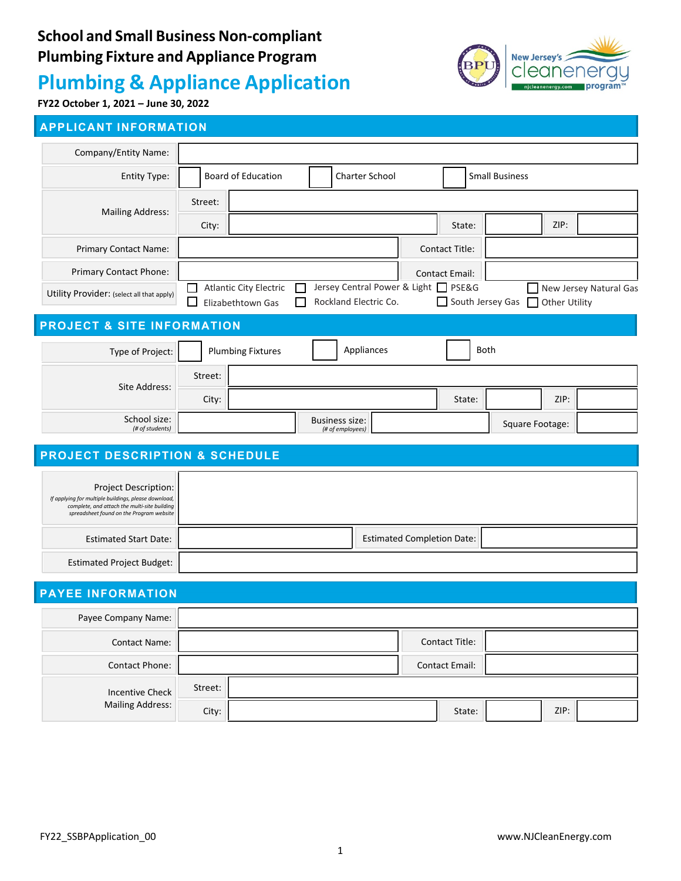



**FY22 October 1, 2021 – June 30, 2022**

# **APPLICANT INFORMATION**

| Company/Entity Name:                                                                                                                                                     |         |                                                    |  |                                           |                                                               |                                   |      |                 |               |                        |
|--------------------------------------------------------------------------------------------------------------------------------------------------------------------------|---------|----------------------------------------------------|--|-------------------------------------------|---------------------------------------------------------------|-----------------------------------|------|-----------------|---------------|------------------------|
| Entity Type:                                                                                                                                                             |         | <b>Board of Education</b><br><b>Charter School</b> |  |                                           |                                                               | <b>Small Business</b>             |      |                 |               |                        |
| <b>Mailing Address:</b>                                                                                                                                                  | Street: |                                                    |  |                                           |                                                               |                                   |      |                 |               |                        |
|                                                                                                                                                                          | City:   |                                                    |  |                                           |                                                               | State:                            |      |                 | ZIP:          |                        |
| Primary Contact Name:                                                                                                                                                    |         |                                                    |  |                                           |                                                               | Contact Title:                    |      |                 |               |                        |
| Primary Contact Phone:                                                                                                                                                   |         |                                                    |  |                                           |                                                               | Contact Email:                    |      |                 |               |                        |
| Utility Provider: (select all that apply)                                                                                                                                |         | <b>Atlantic City Electric</b><br>Elizabethtown Gas |  |                                           | Jersey Central Power & Light   PSE&G<br>Rockland Electric Co. | South Jersey Gas                  |      |                 | Other Utility | New Jersey Natural Gas |
| <b>PROJECT &amp; SITE INFORMATION</b>                                                                                                                                    |         |                                                    |  |                                           |                                                               |                                   |      |                 |               |                        |
| Type of Project:                                                                                                                                                         |         | <b>Plumbing Fixtures</b>                           |  |                                           | Appliances                                                    |                                   | Both |                 |               |                        |
| Site Address:                                                                                                                                                            | Street: |                                                    |  |                                           |                                                               |                                   |      |                 |               |                        |
|                                                                                                                                                                          | City:   |                                                    |  |                                           |                                                               | State:                            |      |                 | ZIP:          |                        |
| School size:<br>(# of students)                                                                                                                                          |         |                                                    |  | <b>Business size:</b><br>(# of employees) |                                                               |                                   |      | Square Footage: |               |                        |
| <b>PROJECT DESCRIPTION &amp; SCHEDULE</b>                                                                                                                                |         |                                                    |  |                                           |                                                               |                                   |      |                 |               |                        |
|                                                                                                                                                                          |         |                                                    |  |                                           |                                                               |                                   |      |                 |               |                        |
| Project Description:<br>If applying for multiple buildings, please download,<br>complete, and attach the multi-site building<br>spreadsheet found on the Program website |         |                                                    |  |                                           |                                                               |                                   |      |                 |               |                        |
| <b>Estimated Start Date:</b>                                                                                                                                             |         |                                                    |  |                                           |                                                               | <b>Estimated Completion Date:</b> |      |                 |               |                        |
| <b>Estimated Project Budget:</b>                                                                                                                                         |         |                                                    |  |                                           |                                                               |                                   |      |                 |               |                        |
| <b>PAYEE INFORMATION</b>                                                                                                                                                 |         |                                                    |  |                                           |                                                               |                                   |      |                 |               |                        |
| Payee Company Name:                                                                                                                                                      |         |                                                    |  |                                           |                                                               |                                   |      |                 |               |                        |
| <b>Contact Name:</b>                                                                                                                                                     |         |                                                    |  |                                           |                                                               | Contact Title:                    |      |                 |               |                        |
| <b>Contact Phone:</b>                                                                                                                                                    |         |                                                    |  |                                           |                                                               | <b>Contact Email:</b>             |      |                 |               |                        |
| <b>Incentive Check</b>                                                                                                                                                   | Street: |                                                    |  |                                           |                                                               |                                   |      |                 |               |                        |
| <b>Mailing Address:</b>                                                                                                                                                  | City:   |                                                    |  |                                           |                                                               | State:                            |      |                 | ZIP:          |                        |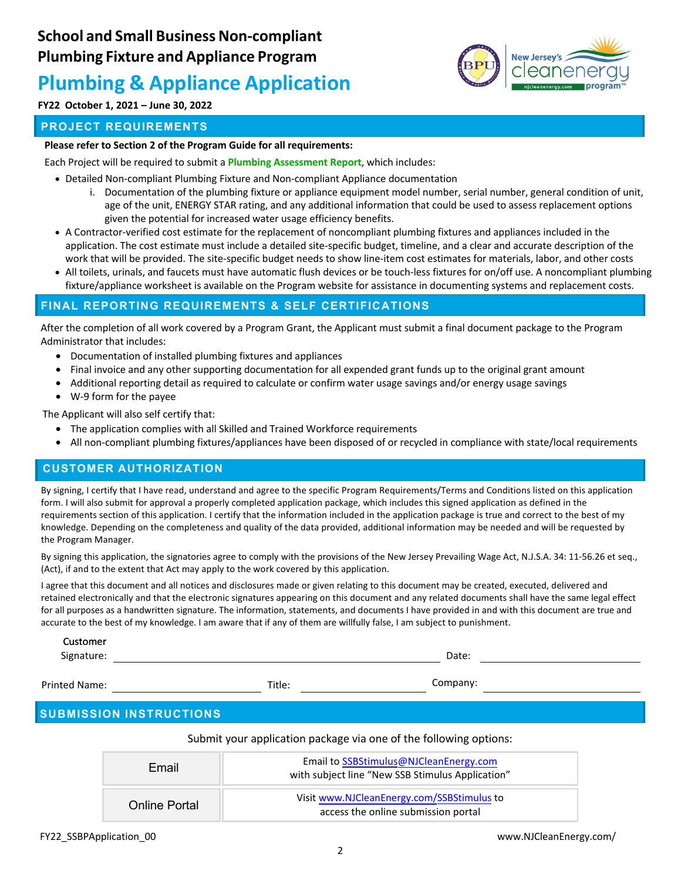

# **FY22 October 1, 2021 – June 30, 2022**

## **PROJECT REQUIREMENTS**

#### **Please refer to Section 2 of the Program Guide for all requirements:**

Each Project will be required to submit a **Plumbing Assessment Report**, which includes:

- Detailed Non-compliant Plumbing Fixture and Non-compliant Appliance documentation
	- i. Documentation of the plumbing fixture or appliance equipment model number, serial number, general condition of unit, age of the unit, ENERGY STAR rating, and any additional information that could be used to assess replacement options given the potential for increased water usage efficiency benefits.
- A Contractor-verified cost estimate for the replacement of noncompliant plumbing fixtures and appliances included in the application. The cost estimate must include a detailed site-specific budget, timeline, and a clear and accurate description of the work that will be provided. The site-specific budget needs to show line-item cost estimates for materials, labor, and other costs
- All toilets, urinals, and faucets must have automatic flush devices or be touch-less fixtures for on/off use. A noncompliant plumbing fixture/appliance worksheet is available on the Program website for assistance in documenting systems and replacement costs.

## **FINAL REPORTING REQUIREMENTS & SELF CERTIFICATIONS**

After the completion of all work covered by a Program Grant, the Applicant must submit a final document package to the Program Administrator that includes:

- Documentation of installed plumbing fixtures and appliances
- Final invoice and any other supporting documentation for all expended grant funds up to the original grant amount
- Additional reporting detail as required to calculate or confirm water usage savings and/or energy usage savings
- W-9 form for the payee

The Applicant will also self certify that:

- The application complies with all Skilled and Trained Workforce requirements
- All non-compliant plumbing fixtures/appliances have been disposed of or recycled in compliance with state/local requirements

## **CUSTOMER AUTHORIZATION**

By signing, I certify that I have read, understand and agree to the specific Program Requirements/Terms and Conditions listed on this application form. I will also submit for approval a properly completed application package, which includes this signed application as defined in the requirements section of this application. I certify that the information included in the application package is true and correct to the best of my knowledge. Depending on the completeness and quality of the data provided, additional information may be needed and will be requested by the Program Manager.

By signing this application, the signatories agree to comply with the provisions of the New Jersey Prevailing Wage Act, N.J.S.A. 34: 11-56.26 et seq., (Act), if and to the extent that Act may apply to the work covered by this application.

I agree that this document and all notices and disclosures made or given relating to this document may be created, executed, delivered and retained electronically and that the electronic signatures appearing on this document and any related documents shall have the same legal effect for all purposes as a handwritten signature. The information, statements, and documents I have provided in and with this document are true and accurate to the best of my knowledge. I am aware that if any of them are willfully false, I am subject to punishment.

| Customer<br>Signature: | Date:              |  |
|------------------------|--------------------|--|
| ted Name:              | Company:<br>Title: |  |

Printed Name:

# **SUBMISSION INSTRUCTIONS**

#### Submit your application package via one of the following options:

| Email                | Email to SSBStimulus@NJCleanEnergy.com<br>with subject line "New SSB Stimulus Application" |
|----------------------|--------------------------------------------------------------------------------------------|
| <b>Online Portal</b> | Visit www.NJCleanEnergy.com/SSBStimulus to<br>access the online submission portal          |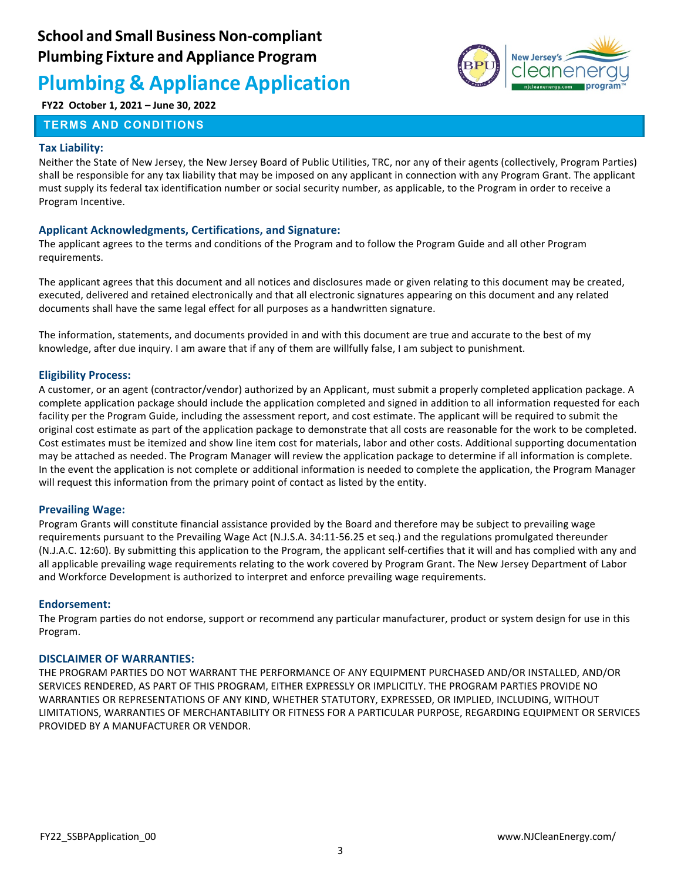

# **FY22 October 1, 2021 – June 30, 2022**

### **TERMS AND CONDITIONS**

#### **Tax Liability:**

Neither the State of New Jersey, the New Jersey Board of Public Utilities, TRC, nor any of their agents (collectively, Program Parties) shall be responsible for any tax liability that may be imposed on any applicant in connection with any Program Grant. The applicant must supply its federal tax identification number or social security number, as applicable, to the Program in order to receive a Program Incentive.

#### **Applicant Acknowledgments, Certifications, and Signature:**

The applicant agrees to the terms and conditions of the Program and to follow the Program Guide and all other Program requirements.

The applicant agrees that this document and all notices and disclosures made or given relating to this document may be created, executed, delivered and retained electronically and that all electronic signatures appearing on this document and any related documents shall have the same legal effect for all purposes as a handwritten signature.

The information, statements, and documents provided in and with this document are true and accurate to the best of my knowledge, after due inquiry. I am aware that if any of them are willfully false, I am subject to punishment.

#### **Eligibility Process:**

A customer, or an agent (contractor/vendor) authorized by an Applicant, must submit a properly completed application package. A complete application package should include the application completed and signed in addition to all information requested for each facility per the Program Guide, including the assessment report, and cost estimate. The applicant will be required to submit the original cost estimate as part of the application package to demonstrate that all costs are reasonable for the work to be completed. Cost estimates must be itemized and show line item cost for materials, labor and other costs. Additional supporting documentation may be attached as needed. The Program Manager will review the application package to determine if all information is complete. In the event the application is not complete or additional information is needed to complete the application, the Program Manager will request this information from the primary point of contact as listed by the entity.

#### **Prevailing Wage:**

Program Grants will constitute financial assistance provided by the Board and therefore may be subject to prevailing wage requirements pursuant to the Prevailing Wage Act (N.J.S.A. 34:11-56.25 et seq.) and the regulations promulgated thereunder (N.J.A.C. 12:60). By submitting this application to the Program, the applicant self-certifies that it will and has complied with any and all applicable prevailing wage requirements relating to the work covered by Program Grant. The New Jersey Department of Labor and Workforce Development is authorized to interpret and enforce prevailing wage requirements.

#### **Endorsement:**

The Program parties do not endorse, support or recommend any particular manufacturer, product or system design for use in this Program.

#### **DISCLAIMER OF WARRANTIES:**

THE PROGRAM PARTIES DO NOT WARRANT THE PERFORMANCE OF ANY EQUIPMENT PURCHASED AND/OR INSTALLED, AND/OR SERVICES RENDERED, AS PART OF THIS PROGRAM, EITHER EXPRESSLY OR IMPLICITLY. THE PROGRAM PARTIES PROVIDE NO WARRANTIES OR REPRESENTATIONS OF ANY KIND, WHETHER STATUTORY, EXPRESSED, OR IMPLIED, INCLUDING, WITHOUT LIMITATIONS, WARRANTIES OF MERCHANTABILITY OR FITNESS FOR A PARTICULAR PURPOSE, REGARDING EQUIPMENT OR SERVICES PROVIDED BY A MANUFACTURER OR VENDOR.